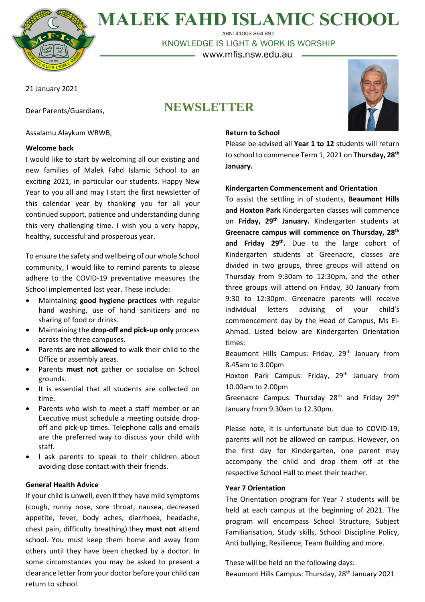

**MALEK FAHD ISLAMIC SCHOOL** ABN: 41003 864 891

KNOWLEDGE IS LIGHT & WORK IS WORSHIP

– www.mfis.nsw.edu.au -

21 January 2021

Dear Parents/Guardians,

# **NEWSLETTER**



# Assalamu Alaykum WRWB,

## **Welcome back**

I would like to start by welcoming all our existing and new families of Malek Fahd Islamic School to an exciting 2021, in particular our students. Happy New Year to you all and may I start the first newsletter of this calendar year by thanking you for all your continued support, patience and understanding during this very challenging time. I wish you a very happy, healthy, successful and prosperous year.

To ensure the safety and wellbeing of our whole School community, I would like to remind parents to please adhere to the COVID-19 preventative measures the School implemented last year. These include:

- Maintaining **good hygiene practices** with regular hand washing, use of hand sanitizers and no sharing of food or drinks.
- Maintaining the **drop-off and pick-up only** process across the three campuses.
- Parents **are not allowed** to walk their child to the Office or assembly areas.
- Parents **must not** gather or socialise on School grounds.
- It is essential that all students are collected on time.
- Parents who wish to meet a staff member or an Executive must schedule a meeting outside dropoff and pick-up times. Telephone calls and emails are the preferred way to discuss your child with staff.
- I ask parents to speak to their children about avoiding close contact with their friends.

## **General Health Advice**

If your child is unwell, even if they have mild symptoms (cough, runny nose, sore throat, nausea, decreased appetite, fever, body aches, diarrhoea, headache, chest pain, difficulty breathing) they **must not** attend school. You must keep them home and away from others until they have been checked by a doctor. In some circumstances you may be asked to present a clearance letter from your doctor before your child can return to school.

#### **Return to School**

Please be advised all **Year 1 to 12** students will return to school to commence Term 1, 2021 on **Thursday, 28th January.**

## **Kindergarten Commencement and Orientation**

To assist the settling in of students, **Beaumont Hills and Hoxton Park** Kindergarten classes will commence on **Friday, 29th January.** Kindergarten students at **Greenacre campus will commence on Thursday, 28th and Friday 29th .** Due to the large cohort of Kindergarten students at Greenacre, classes are divided in two groups, three groups will attend on Thursday from 9:30am to 12:30pm, and the other three groups will attend on Friday, 30 January from 9:30 to 12:30pm. Greenacre parents will receive individual letters advising of your child's commencement day by the Head of Campus, Ms El-Ahmad. Listed below are Kindergarten Orientation times:

Beaumont Hills Campus: Friday, 29<sup>th</sup> January from 8.45am to 3.00pm

Hoxton Park Campus: Friday, 29<sup>th</sup> January from 10.00am to 2.00pm

Greenacre Campus: Thursday 28<sup>th</sup> and Friday 29<sup>th</sup> January from 9.30am to 12.30pm.

Please note, it is unfortunate but due to COVID-19, parents will not be allowed on campus. However, on the first day for Kindergarten, one parent may accompany the child and drop them off at the respective School Hall to meet their teacher.

## **Year 7 Orientation**

The Orientation program for Year 7 students will be held at each campus at the beginning of 2021. The program will encompass School Structure, Subject Familiarisation, Study skills, School Discipline Policy, Anti bullying, Resilience, Team Building and more.

These will be held on the following days: Beaumont Hills Campus: Thursday, 28<sup>th</sup> January 2021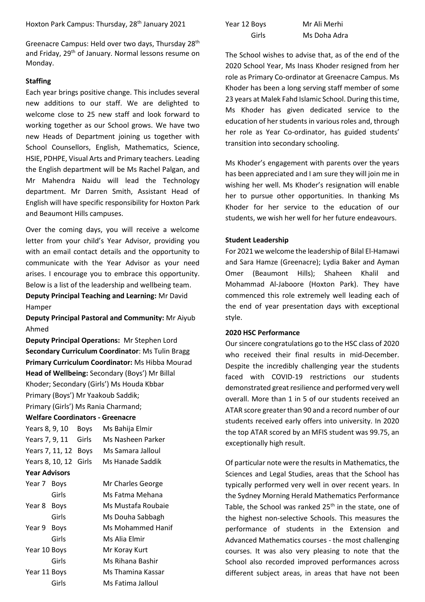Greenacre Campus: Held over two days, Thursday 28th and Friday, 29<sup>th</sup> of January. Normal lessons resume on Monday.

# **Staffing**

Each year brings positive change. This includes several new additions to our staff. We are delighted to welcome close to 25 new staff and look forward to working together as our School grows. We have two new Heads of Department joining us together with School Counsellors, English, Mathematics, Science, HSIE, PDHPE, Visual Arts and Primary teachers. Leading the English department will be Ms Rachel Palgan, and Mr Mahendra Naidu will lead the Technology department. Mr Darren Smith, Assistant Head of English will have specific responsibility for Hoxton Park and Beaumont Hills campuses.

Over the coming days, you will receive a welcome letter from your child's Year Advisor, providing you with an email contact details and the opportunity to communicate with the Year Advisor as your need arises. I encourage you to embrace this opportunity. Below is a list of the leadership and wellbeing team.

**Deputy Principal Teaching and Learning:** Mr David Hamper

**Deputy Principal Pastoral and Community:** Mr Aiyub Ahmed

**Deputy Principal Operations:** Mr Stephen Lord **Secondary Curriculum Coordinator**: Ms Tulin Bragg **Primary Curriculum Coordinator:** Ms Hibba Mourad **Head of Wellbeing:** Secondary (Boys') Mr Billal Khoder; Secondary (Girls') Ms Houda Kbbar Primary (Boys') Mr Yaakoub Saddik; Primary (Girls') Ms Rania Charmand;

## **Welfare Coordinators - Greenacre**

| Years 8, 9, 10        | Bovs | Ms Bahija Elmir   |
|-----------------------|------|-------------------|
| Years 7, 9, 11 Girls  |      | Ms Nasheen Parker |
| Years 7, 11, 12 Boys  |      | Ms Samara Jalloul |
| Years 8, 10, 12 Girls |      | Ms Hanade Saddik  |

## **Year Advisors**

| Year 7 Boys  |             | Mr Charles George  |
|--------------|-------------|--------------------|
|              | Girls       | Ms Fatma Mehana    |
| Year 8       | <b>Boys</b> | Ms Mustafa Roubaie |
|              | Girls       | Ms Douha Sabbagh   |
| Year 9       | <b>Boys</b> | Ms Mohammed Hanif  |
|              | Girls       | Ms Alia Elmir      |
| Year 10 Boys |             | Mr Koray Kurt      |
|              | Girls       | Ms Rihana Bashir   |
| Year 11 Boys |             | Ms Thamina Kassar  |
|              | Girls       | Ms Fatima Jalloul  |
|              |             |                    |

| Year 12 Boys |  |
|--------------|--|
| Girls        |  |

Mr Ali Merhi Ms Doha Adra

The School wishes to advise that, as of the end of the 2020 School Year, Ms Inass Khoder resigned from her role as Primary Co-ordinator at Greenacre Campus. Ms Khoder has been a long serving staff member of some 23 years at Malek Fahd Islamic School. During this time, Ms Khoder has given dedicated service to the education of her students in various roles and, through her role as Year Co-ordinator, has guided students' transition into secondary schooling.

Ms Khoder's engagement with parents over the years has been appreciated and I am sure they will join me in wishing her well. Ms Khoder's resignation will enable her to pursue other opportunities. In thanking Ms Khoder for her service to the education of our students, we wish her well for her future endeavours.

## **Student Leadership**

For 2021 we welcome the leadership of Bilal El-Hamawi and Sara Hamze (Greenacre); Lydia Baker and Ayman Omer (Beaumont Hills); Shaheen Khalil and Mohammad Al-Jaboore (Hoxton Park). They have commenced this role extremely well leading each of the end of year presentation days with exceptional style.

## **2020 HSC Performance**

Our sincere congratulations go to the HSC class of 2020 who received their final results in mid-December. Despite the incredibly challenging year the students faced with COVID-19 restrictions our students demonstrated great resilience and performed very well overall. More than 1 in 5 of our students received an ATAR score greater than 90 and a record number of our students received early offers into university. In 2020 the top ATAR scored by an MFIS student was 99.75, an exceptionally high result.

Of particular note were the results in Mathematics, the Sciences and Legal Studies, areas that the School has typically performed very well in over recent years. In the Sydney Morning Herald Mathematics Performance Table, the School was ranked  $25<sup>th</sup>$  in the state, one of the highest non-selective Schools. This measures the performance of students in the Extension and Advanced Mathematics courses - the most challenging courses. It was also very pleasing to note that the School also recorded improved performances across different subject areas, in areas that have not been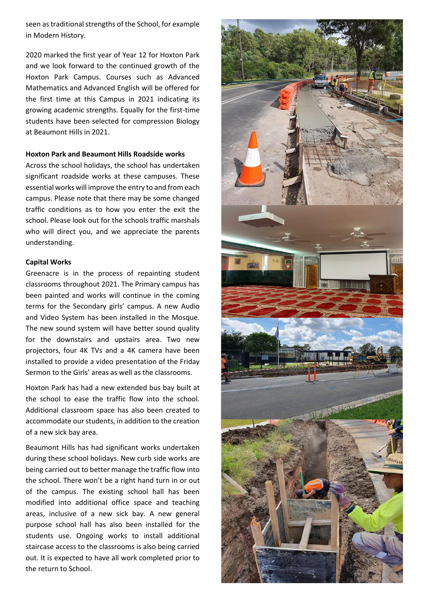seen as traditional strengths of the School, for example in Modern History.

2020 marked the first year of Year 12 for Hoxton Park and we look forward to the continued growth of the Hoxton Park Campus. Courses such as Advanced Mathematics and Advanced English will be offered for the first time at this Campus in 2021 indicating its growing academic strengths. Equally for the first-time students have been selected for compression Biology at Beaumont Hills in 2021.

#### **Hoxton Park and Beaumont Hills Roadside works**

Across the school holidays, the school has undertaken significant roadside works at these campuses. These essential works will improve the entry to and from each campus. Please note that there may be some changed traffic conditions as to how you enter the exit the school. Please look out for the schools traffic marshals who will direct you, and we appreciate the parents understanding.

#### **Capital Works**

Greenacre is in the process of repainting student classrooms throughout 2021. The Primary campus has been painted and works will continue in the coming terms for the Secondary girls' campus. A new Audio and Video System has been installed in the Mosque. The new sound system will have better sound quality for the downstairs and upstairs area. Two new projectors, four 4K TVs and a 4K camera have been installed to provide a video presentation of the Friday Sermon to the Girls' areas as well as the classrooms.

Hoxton Park has had a new extended bus bay built at the school to ease the traffic flow into the school. Additional classroom space has also been created to accommodate our students, in addition to the creation of a new sick bay area.

Beaumont Hills has had significant works undertaken during these school holidays. New curb side works are being carried out to better manage the traffic flow into the school. There won't be a right hand turn in or out of the campus. The existing school hall has been modified into additional office space and teaching areas, inclusive of a new sick bay. A new general purpose school hall has also been installed for the students use. Ongoing works to install additional staircase access to the classrooms is also being carried out. It is expected to have all work completed prior to the return to School.